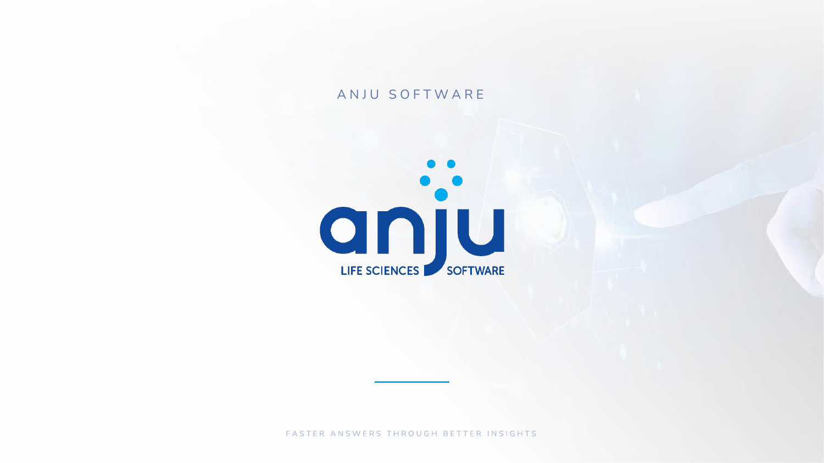#### ANJU SOFTWARE



FASTER ANSWERS THROUGH BETTER INSIGHTS

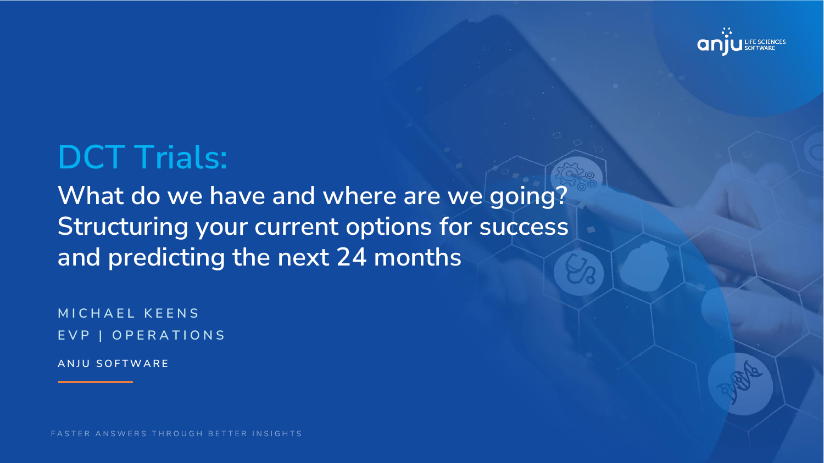**M I C H A E L K E E N S E V P | O P E R A T I O N S**

# **DCT Trials:**

**What do we have and where are we going? Structuring your current options for success and predicting the next 24 months**

**A N J U S O F T W A R E**

FASTER ANSWERS THROUGH BETTER INSIGHTS

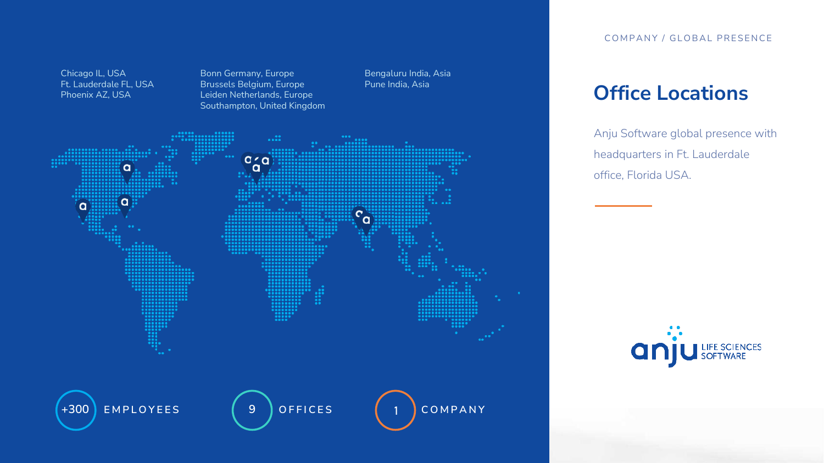## **Office Locations**

Anju Software global presence with headquarters in Ft. Lauderdale office, Florida USA.



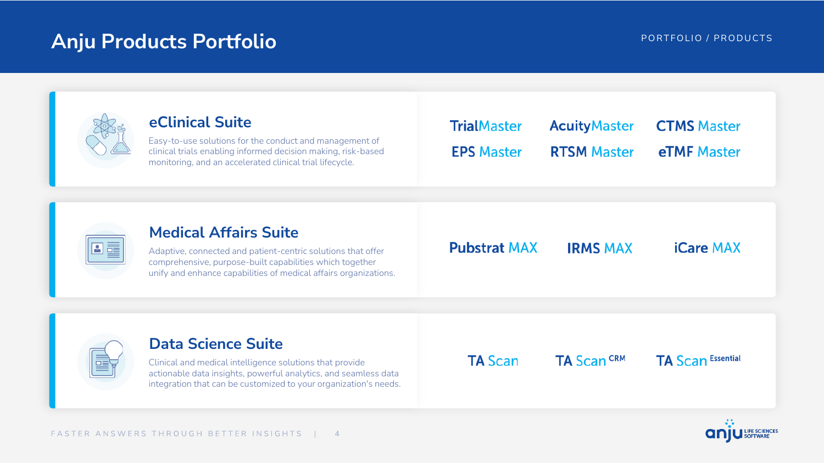## **Anju Products Portfolio Products Portfolio PO R T Anju PORTFOLIO / PRODUCTS**

N面

## **eClinical Suite**

Easy-to-use solutions for the conduct and management of clinical trials enabling informed decision making, risk-based monitoring, and an accelerated clinical trial lifecycle.

| <b>Medical Affairs Suite</b> |  |
|------------------------------|--|
|                              |  |

Adaptive, connected and patient-centric solutions that offer comprehensive, purpose-built capabilities which together unify and enhance capabilities of medical affairs organizations. **Pubstrat MAX** 

**TrialMaster** 

**EPS Master** 

### **Data Science Suite**

Clinical and medical intelligence solutions that provide actionable data insights, powerful analytics, and seamless data integration that can be customized to your organization's needs. **TA Scan** 



#### **AcuityMaster CTMS Master eTMF** Master **RTSM Master**

#### **IRMS MAX**

#### **iCare MAX**



#### **TA Scan Essential**

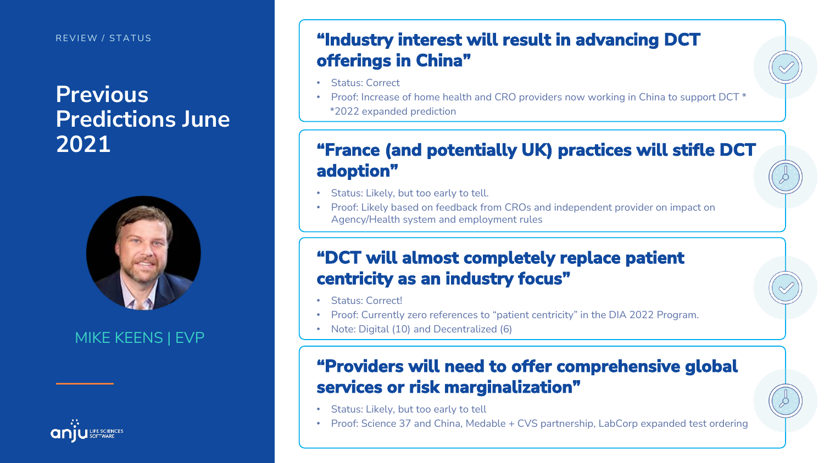#### REVIEW / STATUS

# **Previous Predictions June 2021**



# **"Industry interest will result in advancing DCT offerings in China"** • Status: Correct **"France (and potentially UK) practices will stifle DCT adoption"** • Status: Likely, but too early to tell. • Proof: Likely based on feedback from CROs and independent provider on impact on **"DCT will almost completely replace patient centricity as an industry focus"** • Status: Correct! • Proof: Currently zero references to "patient centricity" in the DIA 2022 Program. • Note: Digital (10) and Decentralized (6) **"Providers will need to offer comprehensive global services or risk marginalization"** • Status: Likely, but too early to tell • Proof: Science 37 and China, Medable + CVS partnership, LabCorp expanded test ordering

- 
- 
- 

- 
- 

## MIKE KEENS | EVP



# • Proof: Increase of home health and CRO providers now working in China to support DCT \* \*2022 expanded prediction Agency/Health system and employment rules

- 
- 

- 
-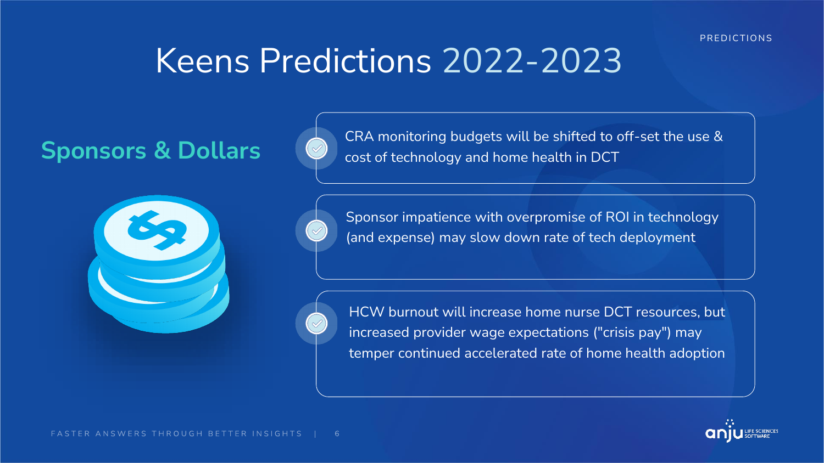



Sponsors & Dollars **Canada CRA** monitoring budgets will be shifted to off-set the use & Sponsors & Dollars

Sponsor impatience with overpromise of ROI in technology (and expense) may slow down rate of tech deployment

HCW burnout will increase home nurse DCT resources, but increased provider wage expectations ("crisis pay") may temper continued accelerated rate of home health adoption

#### PREDICTIONS

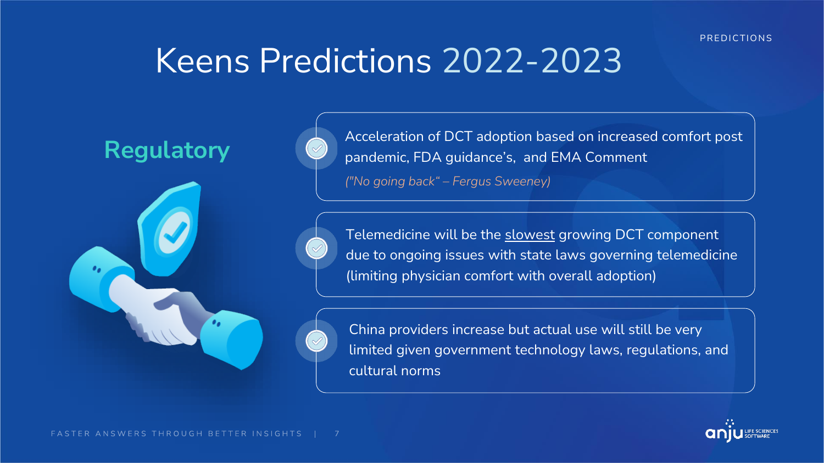Acceleration of DCT adoption based on increased comfort post pandemic, FDA guidance's, and EMA Comment *("No going back" – Fergus Sweeney)*

Telemedicine will be the slowest growing DCT component due to ongoing issues with state laws governing telemedicine (limiting physician comfort with overall adoption)



China providers increase but actual use will still be very limited given government technology laws, regulations, and cultural norms

#### PREDICTIONS



# **Regulatory**

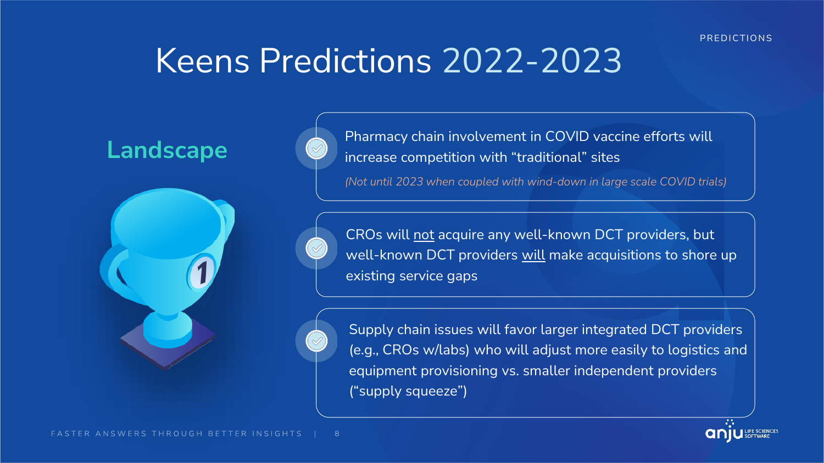Pharmacy chain involvement in COVID vaccine efforts will increase competition with "traditional" sites

*(Not until 2023 when coupled with wind-down in large scale COVID trials)*

CROs will not acquire any well-known DCT providers, but well-known DCT providers will make acquisitions to shore up existing service gaps



Supply chain issues will favor larger integrated DCT providers (e.g., CROs w/labs) who will adjust more easily to logistics and equipment provisioning vs. smaller independent providers ("supply squeeze")

#### PREDICTIONS



# **Landscape**

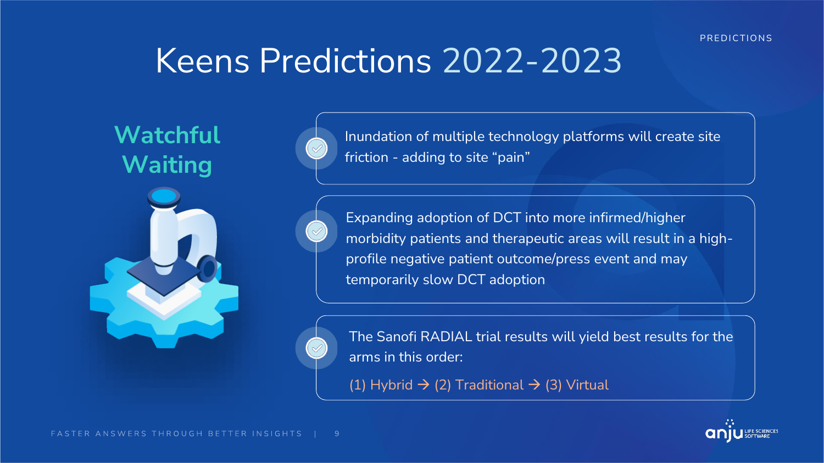

Expanding adoption of DCT into more infirmed/higher morbidity patients and therapeutic areas will result in a highprofile negative patient outcome/press event and may temporarily slow DCT adoption



The Sanofi RADIAL trial results will yield best results for the arms in this order:

(1) Hybrid  $\rightarrow$  (2) Traditional  $\rightarrow$  (3) Virtual

PREDICTIONS



# **Watchful Waiting**